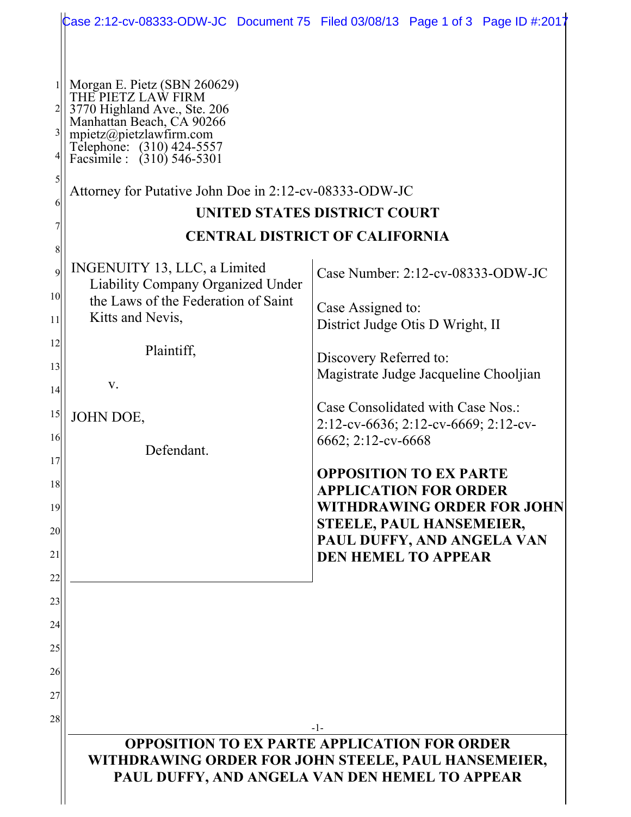|                                                                                                                                                                     |                                                                                                                                                                                                                                                                 | Case 2:12-cv-08333-ODW-JC Document 75 Filed 03/08/13 Page 1 of 3 Page ID #:2017                                                                                                            |  |
|---------------------------------------------------------------------------------------------------------------------------------------------------------------------|-----------------------------------------------------------------------------------------------------------------------------------------------------------------------------------------------------------------------------------------------------------------|--------------------------------------------------------------------------------------------------------------------------------------------------------------------------------------------|--|
| 3<br>$\mathcal{S}$<br>6                                                                                                                                             | Morgan E. Pietz (SBN 260629)<br>THE PIETZ LAW FIRM<br>3770 Highland Ave., Ste. 206<br>Manhattan Beach, CA 90266<br>mpietz@pietzlawfirm.com<br>Telephone: (310) 424-5557<br>Facsimile : (310) 546-5301<br>Attorney for Putative John Doe in 2:12-cv-08333-ODW-JC | UNITED STATES DISTRICT COURT                                                                                                                                                               |  |
|                                                                                                                                                                     | <b>CENTRAL DISTRICT OF CALIFORNIA</b>                                                                                                                                                                                                                           |                                                                                                                                                                                            |  |
| 8<br>$\mathsf{q}$<br>10 <sup>1</sup>                                                                                                                                | INGENUITY 13, LLC, a Limited<br><b>Liability Company Organized Under</b><br>the Laws of the Federation of Saint                                                                                                                                                 | Case Number: $2:12$ -cv-08333-ODW-JC<br>Case Assigned to:                                                                                                                                  |  |
| 11                                                                                                                                                                  | Kitts and Nevis,                                                                                                                                                                                                                                                | District Judge Otis D Wright, II                                                                                                                                                           |  |
| 12                                                                                                                                                                  | Plaintiff,                                                                                                                                                                                                                                                      | Discovery Referred to:                                                                                                                                                                     |  |
| 13                                                                                                                                                                  | V.                                                                                                                                                                                                                                                              | Magistrate Judge Jacqueline Chooljian                                                                                                                                                      |  |
| 14<br>15<br>16                                                                                                                                                      | JOHN DOE,                                                                                                                                                                                                                                                       | Case Consolidated with Case Nos.:<br>2:12-cv-6636; 2:12-cv-6669; 2:12-cv-                                                                                                                  |  |
| 17                                                                                                                                                                  | Defendant.                                                                                                                                                                                                                                                      | 6662; 2:12-cv-6668                                                                                                                                                                         |  |
| 18<br>19<br>20<br>21<br>22                                                                                                                                          |                                                                                                                                                                                                                                                                 | <b>OPPOSITION TO EX PARTE</b><br><b>APPLICATION FOR ORDER</b><br><b>WITHDRAWING ORDER FOR JOHN</b><br>STEELE, PAUL HANSEMEIER,<br>PAUL DUFFY, AND ANGELA VAN<br><b>DEN HEMEL TO APPEAR</b> |  |
| 23<br>24                                                                                                                                                            |                                                                                                                                                                                                                                                                 |                                                                                                                                                                                            |  |
| 25                                                                                                                                                                  |                                                                                                                                                                                                                                                                 |                                                                                                                                                                                            |  |
| 26<br>27                                                                                                                                                            |                                                                                                                                                                                                                                                                 |                                                                                                                                                                                            |  |
| 28                                                                                                                                                                  |                                                                                                                                                                                                                                                                 |                                                                                                                                                                                            |  |
| -1-<br><b>OPPOSITION TO EX PARTE APPLICATION FOR ORDER</b><br>WITHDRAWING ORDER FOR JOHN STEELE, PAUL HANSEMEIER,<br>PAUL DUFFY, AND ANGELA VAN DEN HEMEL TO APPEAR |                                                                                                                                                                                                                                                                 |                                                                                                                                                                                            |  |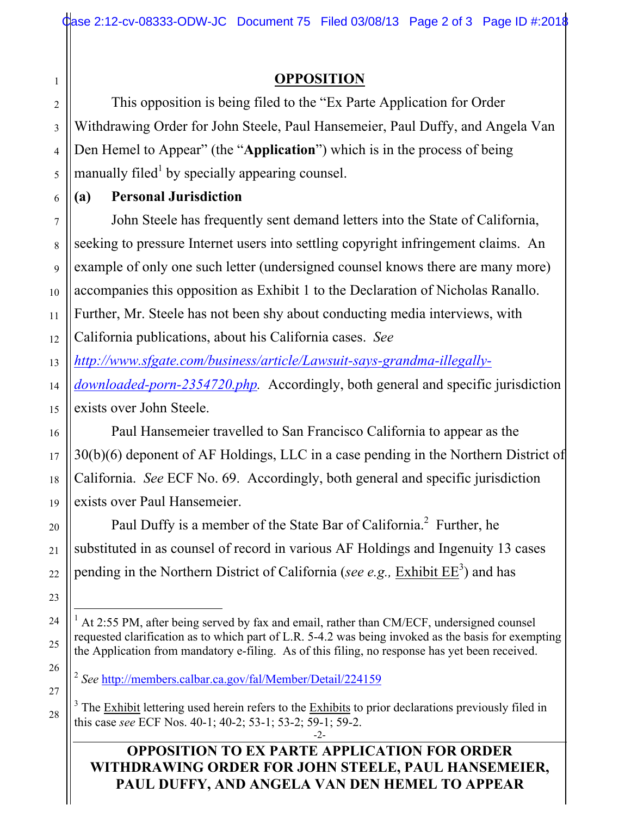# **OPPOSITION**

This opposition is being filed to the "Ex Parte Application for Order Withdrawing Order for John Steele, Paul Hansemeier, Paul Duffy, and Angela Van Den Hemel to Appear" (the "**Application**") which is in the process of being manually filed<sup>1</sup> by specially appearing counsel.

# **(a) Personal Jurisdiction**

John Steele has frequently sent demand letters into the State of California, seeking to pressure Internet users into settling copyright infringement claims. An example of only one such letter (undersigned counsel knows there are many more) accompanies this opposition as Exhibit 1 to the Declaration of Nicholas Ranallo. Further, Mr. Steele has not been shy about conducting media interviews, with California publications, about his California cases. *See* 

*http://www.sfgate.com/business/article/Lawsuit-says-grandma-illegally-*

*downloaded-porn-2354720.php.* Accordingly, both general and specific jurisdiction exists over John Steele.

Paul Hansemeier travelled to San Francisco California to appear as the 30(b)(6) deponent of AF Holdings, LLC in a case pending in the Northern District of California. *See* ECF No. 69. Accordingly, both general and specific jurisdiction exists over Paul Hansemeier.

Paul Duffy is a member of the State Bar of California.<sup>2</sup> Further, he substituted in as counsel of record in various AF Holdings and Ingenuity 13 cases pending in the Northern District of California (*see e.g.*, *Exhibit EE*<sup>3</sup>) and has

<sup>2</sup> *See* http://members.calbar.ca.gov/fal/Member/Detail/224159

### **OPPOSITION TO EX PARTE APPLICATION FOR ORDER WITHDRAWING ORDER FOR JOHN STEELE, PAUL HANSEMEIER, PAUL DUFFY, AND ANGELA VAN DEN HEMEL TO APPEAR**

1

2

 $\frac{1}{1}$  $A$  At 2:55 PM, after being served by fax and email, rather than CM/ECF, undersigned counsel requested clarification as to which part of L.R. 5-4.2 was being invoked as the basis for exempting the Application from mandatory e-filing. As of this filing, no response has yet been received.

<sup>-2-</sup>  $3$  The Exhibit lettering used herein refers to the Exhibits to prior declarations previously filed in this case *see* ECF Nos. 40-1; 40-2; 53-1; 53-2; 59-1; 59-2.